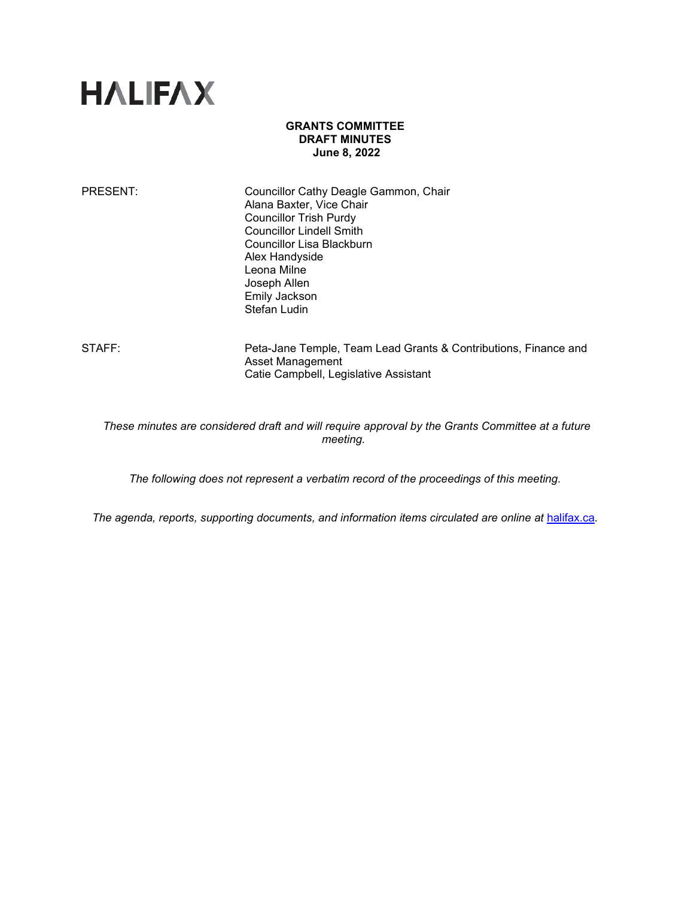# **HALIFAX**

### **GRANTS COMMITTEE DRAFT MINUTES June 8, 2022**

| Councillor Cathy Deagle Gammon, Chair<br>Alana Baxter, Vice Chair<br><b>Councillor Trish Purdy</b><br><b>Councillor Lindell Smith</b> |
|---------------------------------------------------------------------------------------------------------------------------------------|
| Councillor Lisa Blackburn                                                                                                             |
| Alex Handyside                                                                                                                        |
| Leona Milne                                                                                                                           |
| Joseph Allen                                                                                                                          |
| <b>Emily Jackson</b>                                                                                                                  |
| <b>Stefan Ludin</b>                                                                                                                   |
|                                                                                                                                       |

STAFF: Peta-Jane Temple, Team Lead Grants & Contributions, Finance and Asset Management Catie Campbell, Legislative Assistant

*These minutes are considered draft and will require approval by the Grants Committee at a future meeting.*

*The following does not represent a verbatim record of the proceedings of this meeting.*

*The agenda, reports, supporting documents, and information items circulated are online at [halifax.ca](http://www.halifax.ca/).*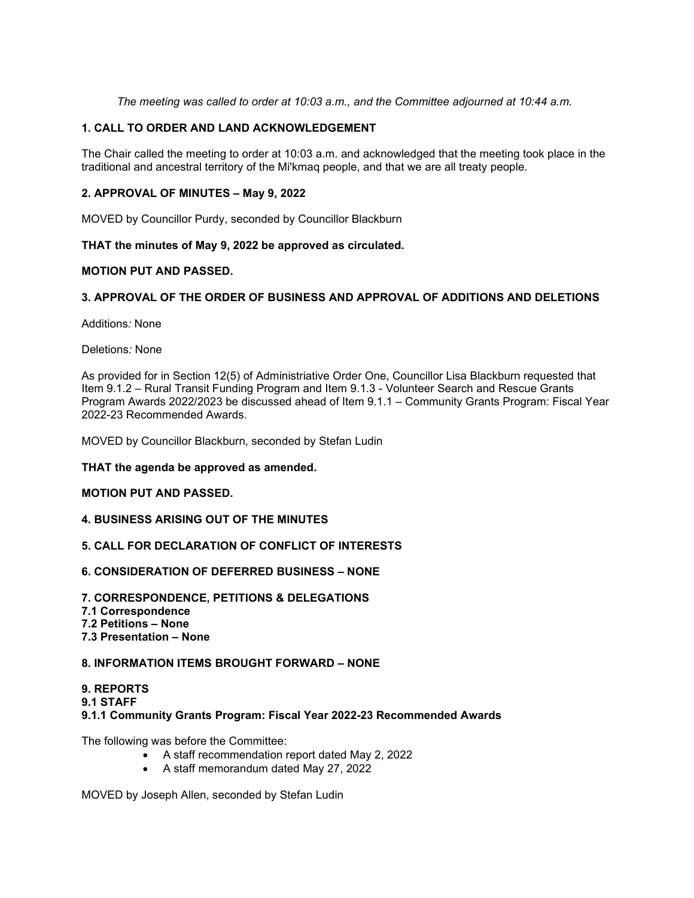*The meeting was called to order at 10:03 a.m., and the Committee adjourned at 10:44 a.m.*

# **1. CALL TO ORDER AND LAND ACKNOWLEDGEMENT**

The Chair called the meeting to order at 10:03 a.m. and acknowledged that the meeting took place in the traditional and ancestral territory of the Mi'kmaq people, and that we are all treaty people. 

## **2. APPROVAL OF MINUTES – May 9, 2022**

MOVED by Councillor Purdy, seconded by Councillor Blackburn

#### **THAT the minutes of May 9, 2022 be approved as circulated.**

#### **MOTION PUT AND PASSED.**

## **3. APPROVAL OF THE ORDER OF BUSINESS AND APPROVAL OF ADDITIONS AND DELETIONS**

Additions*:* None

Deletions*:* None

As provided for in Section 12(5) of Administriative Order One, Councillor Lisa Blackburn requested that Item 9.1.2 – Rural Transit Funding Program and Item 9.1.3 - Volunteer Search and Rescue Grants Program Awards 2022/2023 be discussed ahead of Item 9.1.1 – Community Grants Program: Fiscal Year 2022-23 Recommended Awards.

MOVED by Councillor Blackburn, seconded by Stefan Ludin

**THAT the agenda be approved as amended.**

#### **MOTION PUT AND PASSED.**

#### **4. BUSINESS ARISING OUT OF THE MINUTES**

#### **5. CALL FOR DECLARATION OF CONFLICT OF INTERESTS**

#### **6. CONSIDERATION OF DEFERRED BUSINESS – NONE**

**7. CORRESPONDENCE, PETITIONS & DELEGATIONS 7.1 Correspondence 7.2 Petitions – None 7.3 Presentation – None**

# **8. INFORMATION ITEMS BROUGHT FORWARD – NONE**

#### **9. REPORTS 9.1 STAFF 9.1.1 Community Grants Program: Fiscal Year 2022-23 Recommended Awards**

The following was before the Committee:

- A staff recommendation report dated May 2, 2022
- A staff memorandum dated May 27, 2022

MOVED by Joseph Allen, seconded by Stefan Ludin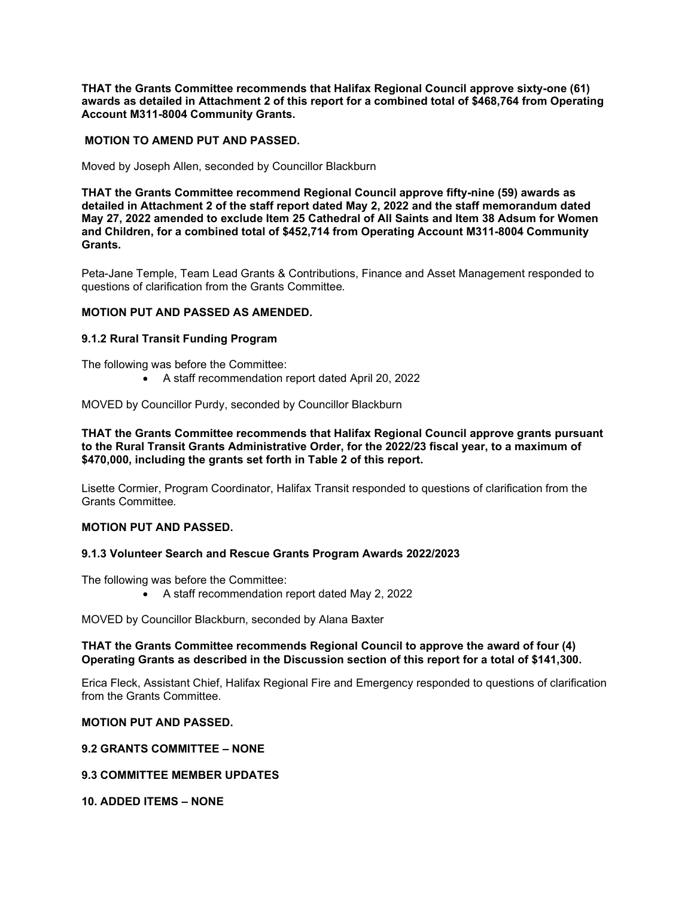**THAT the Grants Committee recommends that Halifax Regional Council approve sixty-one (61) awards as detailed in Attachment 2 of this report for a combined total of \$468,764 from Operating Account M311-8004 Community Grants.**

#### **MOTION TO AMEND PUT AND PASSED.**

Moved by Joseph Allen, seconded by Councillor Blackburn

**THAT the Grants Committee recommend Regional Council approve fifty-nine (59) awards as detailed in Attachment 2 of the staff report dated May 2, 2022 and the staff memorandum dated May 27, 2022 amended to exclude Item 25 Cathedral of All Saints and Item 38 Adsum for Women and Children, for a combined total of \$452,714 from Operating Account M311-8004 Community Grants.**

Peta-Jane Temple, Team Lead Grants & Contributions, Finance and Asset Management responded to questions of clarification from the Grants Committee*.*

#### **MOTION PUT AND PASSED AS AMENDED.**

#### **9.1.2 Rural Transit Funding Program**

The following was before the Committee:

• A staff recommendation report dated April 20, 2022

MOVED by Councillor Purdy, seconded by Councillor Blackburn

**THAT the Grants Committee recommends that Halifax Regional Council approve grants pursuant to the Rural Transit Grants Administrative Order, for the 2022/23 fiscal year, to a maximum of \$470,000, including the grants set forth in Table 2 of this report.**

Lisette Cormier, Program Coordinator, Halifax Transit responded to questions of clarification from the Grants Committee*.*

#### **MOTION PUT AND PASSED.**

#### **9.1.3 Volunteer Search and Rescue Grants Program Awards 2022/2023**

The following was before the Committee:

• A staff recommendation report dated May 2, 2022

MOVED by Councillor Blackburn, seconded by Alana Baxter

#### **THAT the Grants Committee recommends Regional Council to approve the award of four (4) Operating Grants as described in the Discussion section of this report for a total of \$141,300.**

Erica Fleck, Assistant Chief, Halifax Regional Fire and Emergency responded to questions of clarification from the Grants Committee.

#### **MOTION PUT AND PASSED.**

#### **9.2 GRANTS COMMITTEE – NONE**

## **9.3 COMMITTEE MEMBER UPDATES**

**10. ADDED ITEMS – NONE**